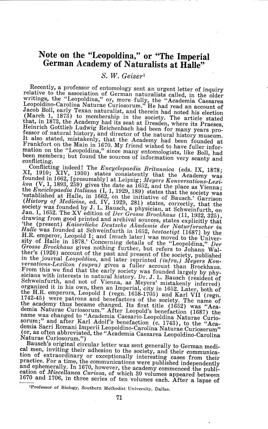## **Note on the "Leopoldina," or "The Imperial German Academy of Naturalists at Halle"**

## *S. W. Geiser <sup>1</sup>*

Recently, a professor of entomology sent an urgent letter of inquiry relative to the association of German naturalists called, in the older vitings, the "Leopoldina," or, more fully, the "Academia Caesarea Leopoldino-Carolina Naturae Curiosorum." He had read an account of Jacob Boll, early Texan naturalist, and therein had noted his election (March 1, 1873) to membership in the society. The article stated that, in 1873, the Academy had its seat at Dresden, where its Praeses, Heinrich Gottlieb Ludwig Reichenbach had been for many years professor of natural history, and director of the natural history museum. It also stated, mistakenly, that the Academy had been founded at Frankfort on the Main in 1670. My friend wished to have fuller information on the "Leopoldina," since many entomologists, like Boll, had been members; but found the sources of information very scanty and<br>conflicting

conflicting. Conflicting indeed! The *Encyclopaedia Britannica* (eds. IX, 1878; XI, 1910; XI, 1930) states consistently that the Academy was founded in 1662, [presumably] at Leipzig; Meyers Konversations-Lexi.<br>kon (V, 1, 1893, 259) gives the date as 1652, and the place as Vienna;<br>the Enciclopaedia Italiana (I, 1, 1929, 189) states that the society was<br>'establi *Charmation at Halle, in 1662, on the initiative of Bausch.'* Garrison (*History of Medicine*, ed. IV, 1929, 281) states, correctly, that the society was founded by J. L. Bausch, a physician, at Schweinfurth, on Jan. 1, 16 drawing from good printed and archival sources, states explicitly that the (present) Kaiserliche Deutsche Akademie der Naturforscher in Halle was founded at Schweinfurth in 1652, *bestaetigt* [1687] by the H.R. emperor, Leopold I; and [much later] was moved to the University of Halle in 1878.' Concerning details of the "Leopoldina," *Der Grosse Brockhaus* gives nothing further, but refers to Johann Wal- ther's (1926) account of the past and present of the society, published in the journal *Leopoldina*, and later reprinted *(infra.) Meyers Kon- versations-Lexikon (supra)* gives a fuller account than Brockhaus. sicians with interests in natural history. Dr. J. L. Bausch (resident of Schweinfurth, and not of Vienna, as Meyers' mistakenly inferred organized it in his own, then an Imperial, city in 1652. Later, both of<br>the H.R. emperors, Leopold I (regn. 1658-1705) and Karl VII (regn.<br>1742-45), wave potherors,  $1742-45$ ) were patrons and benefactors of the society. The name of the academy thus became changed. Its first title (1652) was "Academia Naturae Curiosorum.'' After Leopold's benefaction (1687) the name was changed to "Academia Caesario-Leopoldina Naturae Curiosorum;" and after Karl Adolf's benefaction (c. 1743), to the "Aca-<br>demia Sacri Romani Imperii Leopoldino-Carolina Naturae Curiosorum don, as often abbreviated, the "Academia Caesarea Leopoldino-Carolina"<br>Naturae Curiosorum.")

Bausch's original circular letter was sent generally to German medi- cal men, inviting their adhesion to the society, and their communication of extraordinary or exceptionally interesting cases from their practice. For a time, the communications were published independently and ephemerally. In 1670, however, the academy commenced the publication of *Miscellanea Curiosa*, of which 30 volumes appeared between 1670 and 1706, in three series of ten volumes each. After a lapse of

**<sup>1</sup>Professor of Biology~ Southern Methodist University, Dallas.**